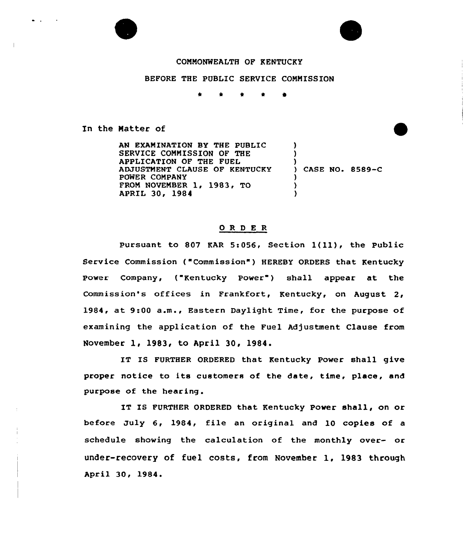

 $\bullet$  .

## COMMONWEALTH OF KENTUCKY

## BEFORE THE PUBLIC SERVICE COMMISSION

 $\star$  $\bullet$ 

In the Natter of

AN EXAMINATION BY THE PUBLIC SERVICE COMMISSION OF THE APPLICATION OF THE FUEL ADJUSTMENT CLAUSE OF KENTUCKY POWER COMPANY FROM NOVEMBER 1, 1983, TO APRIL 30, 1984 ) ) )<br>) CASE NO. 8589-C ) ) )

## ORDER

Pursuant to <sup>807</sup> KAR 5:056, Section l(ll), the Public Service Commission ("Commission") HEREBY ORDERS that Kentucky Power Company, ("Kentucky Power") shall appear at the Commission's offices in Frankfort, Kentucky, on August 2, 1984, at 9:00 a.m., Eastern Daylight Time, for the purpose of examining the application of the Fuel Adjustment Clause from November 1, 1983, to April 30, 1984.

IT IS FURTHER ORDERED that Kentucky Power shall give proper notice ta its customers of the date, time, place, and purpose of the hearing.

IT IS FURTHER ORDERED that Kentucky Power shall, an or before July 6, 1984, file an original and 10 copies of a schedule showing the calculation of the monthly over- or under-recovery of fuel costs, from November 1, 1983 through April 30, 1984.